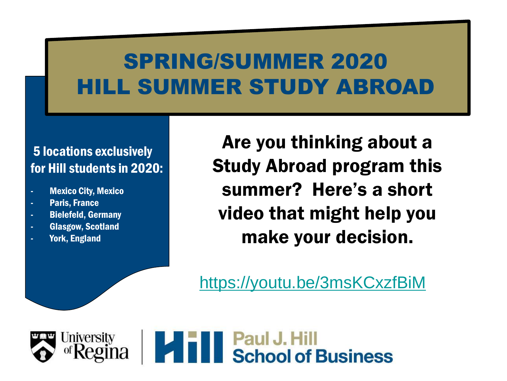#### 5 locations exclusively for Hill students in 2020:

- **Mexico City, Mexico**
- Paris, France
- Bielefeld, Germany
- Glasgow, Scotland
- York, England

Are you thinking about a Study Abroad program this summer? Here's a short video that might help you make your decision.

<https://youtu.be/3msKCxzfBiM>

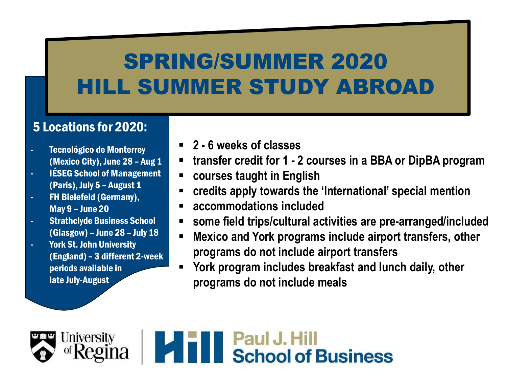#### 5 Locations for 2020:

- Tecnológico de Monterrey (Mexico City), June 28 – Aug 1
- IÉSEG School of Management (Paris), July 5 – August 1
- FH Bielefeld (Germany), May 9 – June 20
- **Strathclyde Business School** (Glasgow) – June 28 – July 18
- York St. John University (England) – 3 different 2-week periods available in late July-August
- **2 - 6 weeks of classes**
- **transfer credit for 1 - 2 courses in a BBA or DipBA program**
- **courses taught in English**
- **credits apply towards the 'International' special mention**
- **accommodations included**
- **some field trips/cultural activities are pre-arranged/included**
- **Mexico and York programs include airport transfers, other programs do not include airport transfers**
- **York program includes breakfast and lunch daily, other programs do not include meals**

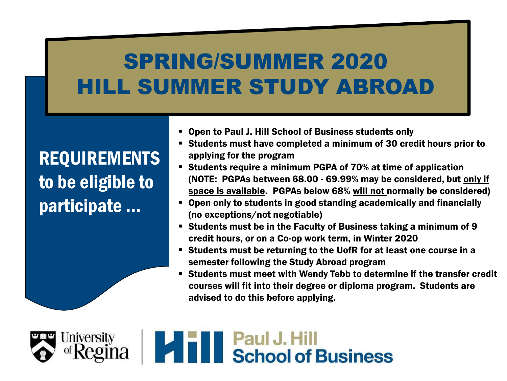REQUIREMENTS to be eligible to participate …

- Open to Paul J. Hill School of Business students only
- Students must have completed a minimum of 30 credit hours prior to applying for the program
- Students require a minimum PGPA of 70% at time of application (NOTE: PGPAs between 68.00 - 69.99% may be considered, but only if space is available. PGPAs below 68% will not normally be considered)
- Open only to students in good standing academically and financially (no exceptions/not negotiable)
- Students must be in the Faculty of Business taking a minimum of 9 credit hours, or on a Co-op work term, in Winter 2020
- Students must be returning to the UofR for at least one course in a semester following the Study Abroad program
- Students must meet with Wendy Tebb to determine if the transfer credit courses will fit into their degree or diploma program. Students are advised to do this before applying.

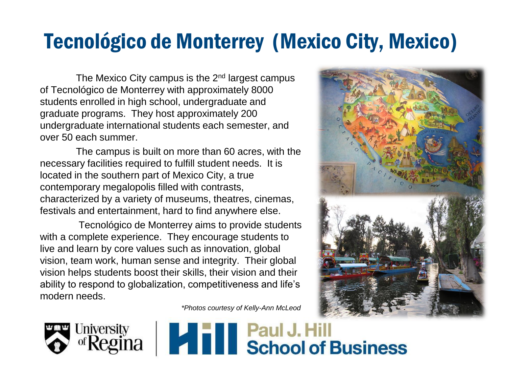#### Tecnológico de Monterrey (Mexico City, Mexico)

The Mexico City campus is the  $2<sup>nd</sup>$  largest campus of Tecnológico de Monterrey with approximately 8000 students enrolled in high school, undergraduate and graduate programs. They host approximately 200 undergraduate international students each semester, and over 50 each summer.

The campus is built on more than 60 acres, with the necessary facilities required to fulfill student needs. It is located in the southern part of Mexico City, a true contemporary megalopolis filled with contrasts, characterized by a variety of museums, theatres, cinemas, festivals and entertainment, hard to find anywhere else.

Tecnológico de Monterrey aims to provide students with a complete experience. They encourage students to live and learn by core values such as innovation, global vision, team work, human sense and integrity. Their global vision helps students boost their skills, their vision and their ability to respond to globalization, competitiveness and life's modern needs.

*\*Photos courtesy of Kelly-Ann McLeod*





# **Ina Later III School of Business**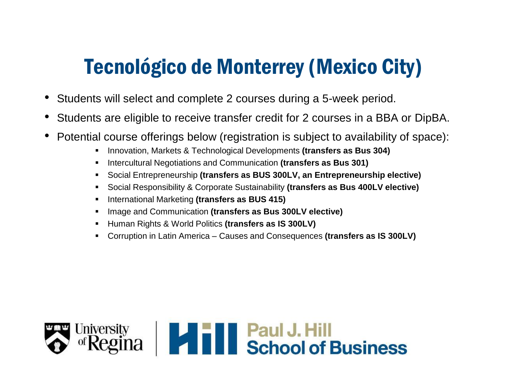#### Tecnológico de Monterrey (Mexico City)

- Students will select and complete 2 courses during a 5-week period.
- Students are eligible to receive transfer credit for 2 courses in a BBA or DipBA.
- Potential course offerings below (registration is subject to availability of space):
	- Innovation, Markets & Technological Developments **(transfers as Bus 304)**
	- Intercultural Negotiations and Communication **(transfers as Bus 301)**
	- Social Entrepreneurship **(transfers as BUS 300LV, an Entrepreneurship elective)**
	- Social Responsibility & Corporate Sustainability **(transfers as Bus 400LV elective)**
	- International Marketing **(transfers as BUS 415)**
	- Image and Communication **(transfers as Bus 300LV elective)**
	- Human Rights & World Politics **(transfers as IS 300LV)**
	- Corruption in Latin America Causes and Consequences **(transfers as IS 300LV)**

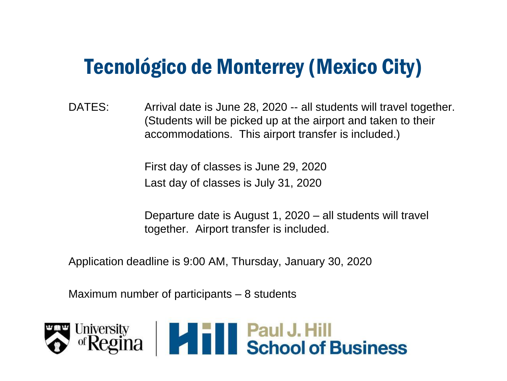#### Tecnológico de Monterrey (Mexico City)

DATES: Arrival date is June 28, 2020 -- all students will travel together. (Students will be picked up at the airport and taken to their accommodations. This airport transfer is included.)

> First day of classes is June 29, 2020 Last day of classes is July 31, 2020

Departure date is August 1, 2020 – all students will travel together. Airport transfer is included.

Application deadline is 9:00 AM, Thursday, January 30, 2020

Maximum number of participants – 8 students

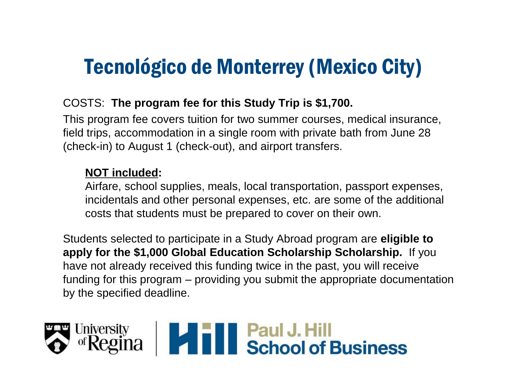#### Tecnológico de Monterrey (Mexico City)

#### COSTS: **The program fee for this Study Trip is \$1,700.**

This program fee covers tuition for two summer courses, medical insurance, field trips, accommodation in a single room with private bath from June 28 (check-in) to August 1 (check-out), and airport transfers.

#### **NOT included:**

Airfare, school supplies, meals, local transportation, passport expenses, incidentals and other personal expenses, etc. are some of the additional costs that students must be prepared to cover on their own.

Students selected to participate in a Study Abroad program are **eligible to apply for the \$1,000 Global Education Scholarship Scholarship.** If you have not already received this funding twice in the past, you will receive funding for this program – providing you submit the appropriate documentation by the specified deadline.

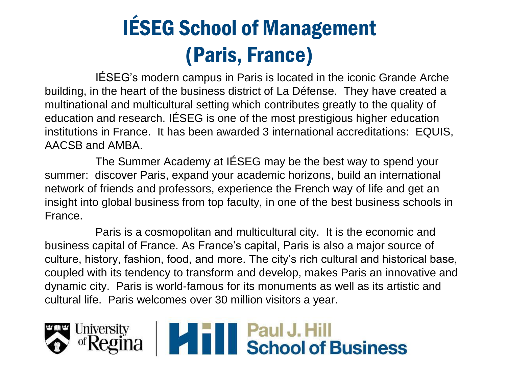## IÉSEG School of Management (Paris, France)

IÉSEG's modern campus in Paris is located in the iconic Grande Arche building, in the heart of the business district of La Défense. They have created a multinational and multicultural setting which contributes greatly to the quality of education and research. IÉSEG is one of the most prestigious higher education institutions in France. It has been awarded 3 international accreditations: EQUIS, AACSB and AMBA.

The Summer Academy at IÉSEG may be the best way to spend your summer: discover Paris, expand your academic horizons, build an international network of friends and professors, experience the French way of life and get an insight into global business from top faculty, in one of the best business schools in France.

Paris is a cosmopolitan and multicultural city. It is the economic and business capital of France. As France's capital, Paris is also a major source of culture, history, fashion, food, and more. The city's rich cultural and historical base, coupled with its tendency to transform and develop, makes Paris an innovative and dynamic city. Paris is world-famous for its monuments as well as its artistic and cultural life. Paris welcomes over 30 million visitors a year.

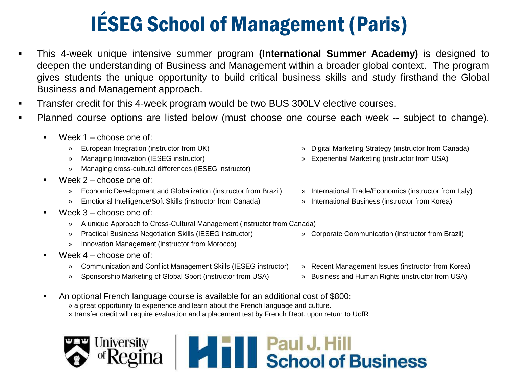### IÉSEG School of Management (Paris)

- This 4-week unique intensive summer program **(International Summer Academy)** is designed to deepen the understanding of Business and Management within a broader global context. The program gives students the unique opportunity to build critical business skills and study firsthand the Global Business and Management approach.
- Transfer credit for this 4-week program would be two BUS 300LV elective courses.
- Planned course options are listed below (must choose one course each week -- subject to change).
	- $\blacksquare$  Week 1 choose one of:
		-
		-
		- » Managing cross-cultural differences (IESEG instructor)
	- $Week 2 choose one of:$ 
		- » Economic Development and Globalization (instructor from Brazil) » International Trade/Economics (instructor from Italy)
		- » Emotional Intelligence/Soft Skills (instructor from Canada) » International Business (instructor from Korea)
	- Week 3 choose one of:
		- » A unique Approach to Cross-Cultural Management (instructor from Canada)
		- » Practical Business Negotiation Skills (IESEG instructor) » Corporate Communication (instructor from Brazil)
		- » Innovation Management (instructor from Morocco)
	- Week 4 choose one of:
		- » Communication and Conflict Management Skills (IESEG instructor) » Recent Management Issues (instructor from Korea)
		- » Sponsorship Marketing of Global Sport (instructor from USA) » Business and Human Rights (instructor from USA)
	- An optional French language course is available for an additional cost of \$800:
		- » a great opportunity to experience and learn about the French language and culture.
		- » transfer credit will require evaluation and a placement test by French Dept. upon return to UofR

#### **THE Paul J. Hill<br>Exchool of Business** University

- » European Integration (instructor from UK) » Digital Marketing Strategy (instructor from Canada)
- » Managing Innovation (IESEG instructor) » Experiential Marketing (instructor from USA)
	-
	-
	-
	-
	-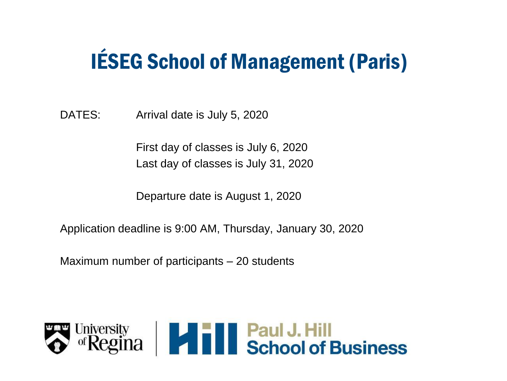### IÉSEG School of Management (Paris)

DATES: Arrival date is July 5, 2020

First day of classes is July 6, 2020 Last day of classes is July 31, 2020

Departure date is August 1, 2020

Application deadline is 9:00 AM, Thursday, January 30, 2020

Maximum number of participants – 20 students

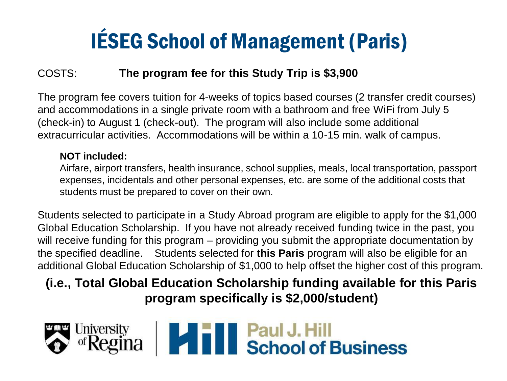### IÉSEG School of Management (Paris)

#### COSTS: **The program fee for this Study Trip is \$3,900**

The program fee covers tuition for 4-weeks of topics based courses (2 transfer credit courses) and accommodations in a single private room with a bathroom and free WiFi from July 5 (check-in) to August 1 (check-out). The program will also include some additional extracurricular activities. Accommodations will be within a 10-15 min. walk of campus.

#### **NOT included:**

Airfare, airport transfers, health insurance, school supplies, meals, local transportation, passport expenses, incidentals and other personal expenses, etc. are some of the additional costs that students must be prepared to cover on their own.

Students selected to participate in a Study Abroad program are eligible to apply for the \$1,000 Global Education Scholarship. If you have not already received funding twice in the past, you will receive funding for this program – providing you submit the appropriate documentation by the specified deadline. Students selected for **this Paris** program will also be eligible for an additional Global Education Scholarship of \$1,000 to help offset the higher cost of this program.

**(i.e., Total Global Education Scholarship funding available for this Paris program specifically is \$2,000/student)**

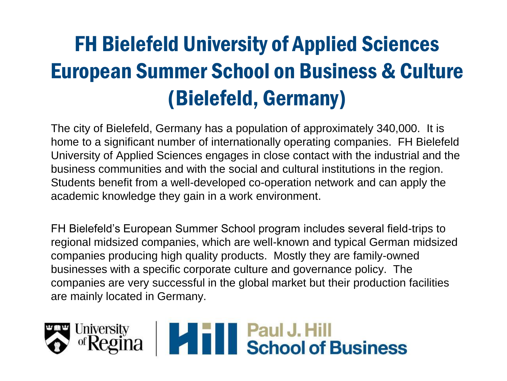### FH Bielefeld University of Applied Sciences European Summer School on Business & Culture (Bielefeld, Germany)

The city of Bielefeld, Germany has a population of approximately 340,000. It is home to a significant number of internationally operating companies. FH Bielefeld University of Applied Sciences engages in close contact with the industrial and the business communities and with the social and cultural institutions in the region. Students benefit from a well-developed co-operation network and can apply the academic knowledge they gain in a work environment.

FH Bielefeld's European Summer School program includes several field-trips to regional midsized companies, which are well-known and typical German midsized companies producing high quality products. Mostly they are family-owned businesses with a specific corporate culture and governance policy. The companies are very successful in the global market but their production facilities are mainly located in Germany.

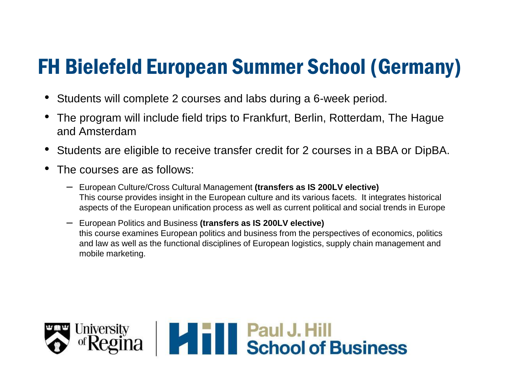### FH Bielefeld European Summer School (Germany)

- Students will complete 2 courses and labs during a 6-week period.
- The program will include field trips to Frankfurt, Berlin, Rotterdam, The Hague and Amsterdam
- Students are eligible to receive transfer credit for 2 courses in a BBA or DipBA.
- The courses are as follows:
	- European Culture/Cross Cultural Management **(transfers as IS 200LV elective)** This course provides insight in the European culture and its various facets. It integrates historical aspects of the European unification process as well as current political and social trends in Europe
	- European Politics and Business **(transfers as IS 200LV elective)** this course examines European politics and business from the perspectives of economics, politics and law as well as the functional disciplines of European logistics, supply chain management and mobile marketing.

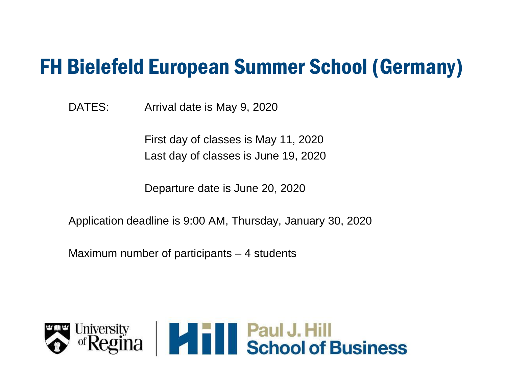#### FH Bielefeld European Summer School (Germany)

DATES: Arrival date is May 9, 2020

First day of classes is May 11, 2020 Last day of classes is June 19, 2020

Departure date is June 20, 2020

Application deadline is 9:00 AM, Thursday, January 30, 2020

Maximum number of participants – 4 students

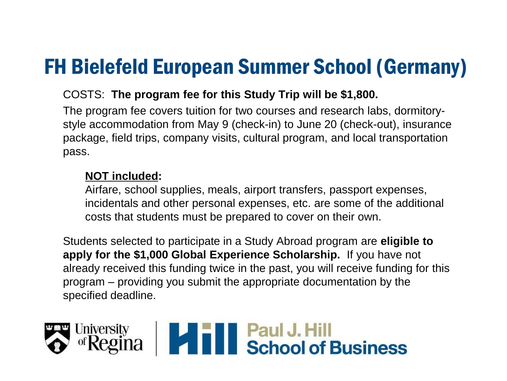### FH Bielefeld European Summer School (Germany)

#### COSTS: **The program fee for this Study Trip will be \$1,800.**

The program fee covers tuition for two courses and research labs, dormitorystyle accommodation from May 9 (check-in) to June 20 (check-out), insurance package, field trips, company visits, cultural program, and local transportation pass.

#### **NOT included:**

Airfare, school supplies, meals, airport transfers, passport expenses, incidentals and other personal expenses, etc. are some of the additional costs that students must be prepared to cover on their own.

Students selected to participate in a Study Abroad program are **eligible to apply for the \$1,000 Global Experience Scholarship.** If you have not already received this funding twice in the past, you will receive funding for this program – providing you submit the appropriate documentation by the specified deadline.

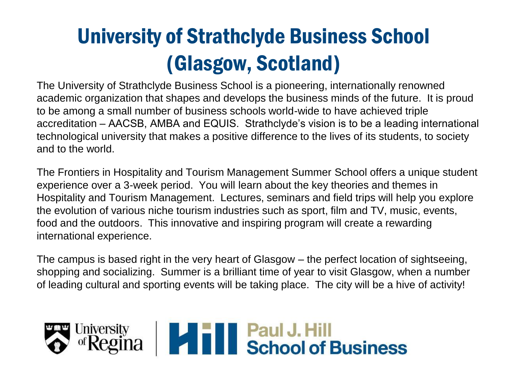### University of Strathclyde Business School (Glasgow, Scotland)

The University of Strathclyde Business School is a pioneering, internationally renowned academic organization that shapes and develops the business minds of the future. It is proud to be among a small number of business schools world-wide to have achieved triple accreditation – AACSB, AMBA and EQUIS. Strathclyde's vision is to be a leading international technological university that makes a positive difference to the lives of its students, to society and to the world.

The Frontiers in Hospitality and Tourism Management Summer School offers a unique student experience over a 3-week period. You will learn about the key theories and themes in Hospitality and Tourism Management. Lectures, seminars and field trips will help you explore the evolution of various niche tourism industries such as sport, film and TV, music, events, food and the outdoors. This innovative and inspiring program will create a rewarding international experience.

The campus is based right in the very heart of Glasgow – the perfect location of sightseeing, shopping and socializing. Summer is a brilliant time of year to visit Glasgow, when a number of leading cultural and sporting events will be taking place. The city will be a hive of activity!

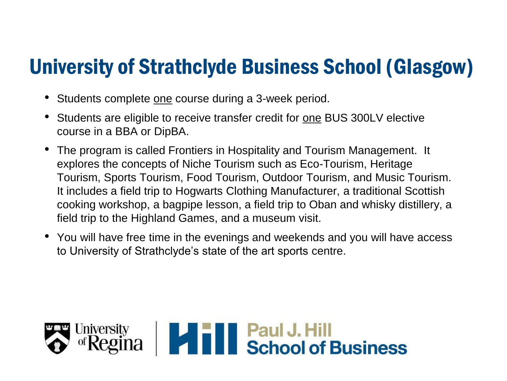#### University of Strathclyde Business School (Glasgow)

- Students complete one course during a 3-week period.
- Students are eligible to receive transfer credit for one BUS 300LV elective course in a BBA or DipBA.
- The program is called Frontiers in Hospitality and Tourism Management. It explores the concepts of Niche Tourism such as Eco-Tourism, Heritage Tourism, Sports Tourism, Food Tourism, Outdoor Tourism, and Music Tourism. It includes a field trip to Hogwarts Clothing Manufacturer, a traditional Scottish cooking workshop, a bagpipe lesson, a field trip to Oban and whisky distillery, a field trip to the Highland Games, and a museum visit.
- You will have free time in the evenings and weekends and you will have access to University of Strathclyde's state of the art sports centre.

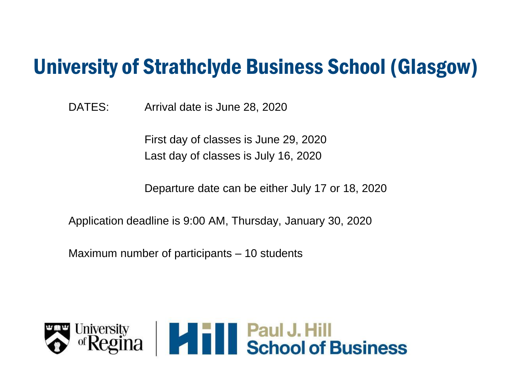#### University of Strathclyde Business School (Glasgow)

DATES: Arrival date is June 28, 2020

First day of classes is June 29, 2020 Last day of classes is July 16, 2020

Departure date can be either July 17 or 18, 2020

Application deadline is 9:00 AM, Thursday, January 30, 2020

Maximum number of participants – 10 students

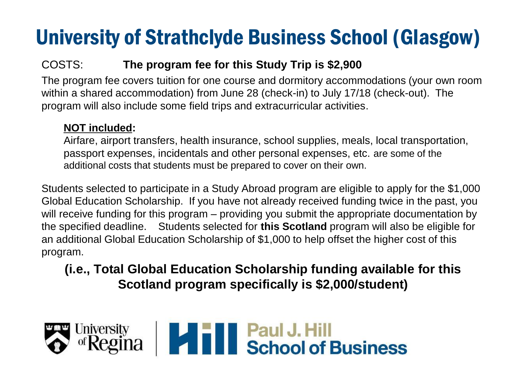### University of Strathclyde Business School (Glasgow)

#### COSTS: **The program fee for this Study Trip is \$2,900**

The program fee covers tuition for one course and dormitory accommodations (your own room within a shared accommodation) from June 28 (check-in) to July 17/18 (check-out). The program will also include some field trips and extracurricular activities.

#### **NOT included:**

Airfare, airport transfers, health insurance, school supplies, meals, local transportation, passport expenses, incidentals and other personal expenses, etc. are some of the additional costs that students must be prepared to cover on their own.

Students selected to participate in a Study Abroad program are eligible to apply for the \$1,000 Global Education Scholarship. If you have not already received funding twice in the past, you will receive funding for this program – providing you submit the appropriate documentation by the specified deadline. Students selected for **this Scotland** program will also be eligible for an additional Global Education Scholarship of \$1,000 to help offset the higher cost of this program.

**(i.e., Total Global Education Scholarship funding available for this Scotland program specifically is \$2,000/student)**

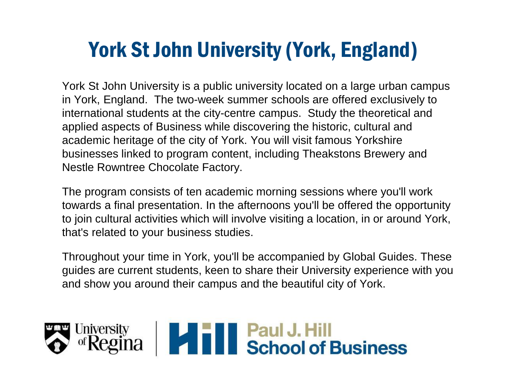York St John University is a public university located on a large urban campus in York, England. The two-week summer schools are offered exclusively to international students at the city-centre campus. Study the theoretical and applied aspects of Business while discovering the historic, cultural and academic heritage of the city of York. You will visit famous Yorkshire businesses linked to program content, including Theakstons Brewery and Nestle Rowntree Chocolate Factory.

The program consists of ten academic morning sessions where you'll work towards a final presentation. In the afternoons you'll be offered the opportunity to join cultural activities which will involve visiting a location, in or around York, that's related to your business studies.

Throughout your time in York, you'll be accompanied by Global Guides. These guides are current students, keen to share their University experience with you and show you around their campus and the beautiful city of York.

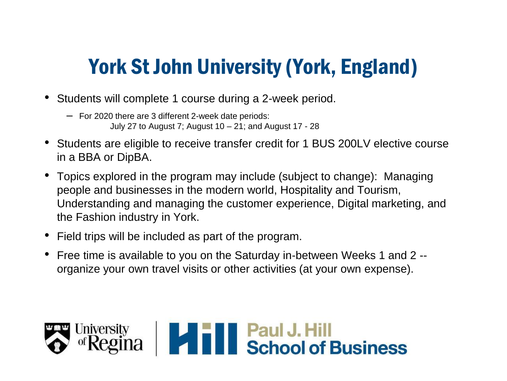- Students will complete 1 course during a 2-week period.
	- For 2020 there are 3 different 2-week date periods: July 27 to August 7; August 10 – 21; and August 17 - 28
- Students are eligible to receive transfer credit for 1 BUS 200LV elective course in a BBA or DipBA.
- Topics explored in the program may include (subject to change): Managing people and businesses in the modern world, Hospitality and Tourism, Understanding and managing the customer experience, Digital marketing, and the Fashion industry in York.
- Field trips will be included as part of the program.
- Free time is available to you on the Saturday in-between Weeks 1 and 2 organize your own travel visits or other activities (at your own expense).

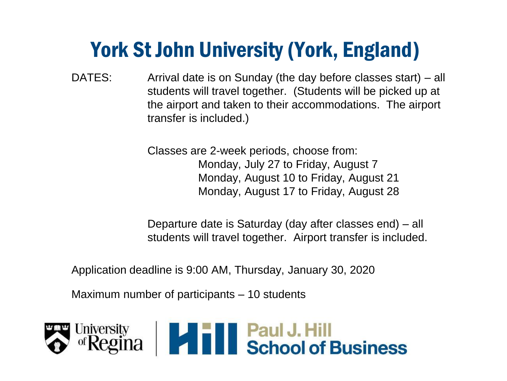DATES: Arrival date is on Sunday (the day before classes start) – all students will travel together. (Students will be picked up at the airport and taken to their accommodations. The airport transfer is included.)

> Classes are 2-week periods, choose from: Monday, July 27 to Friday, August 7 Monday, August 10 to Friday, August 21 Monday, August 17 to Friday, August 28

Departure date is Saturday (day after classes end) – all students will travel together. Airport transfer is included.

Application deadline is 9:00 AM, Thursday, January 30, 2020

Maximum number of participants – 10 students

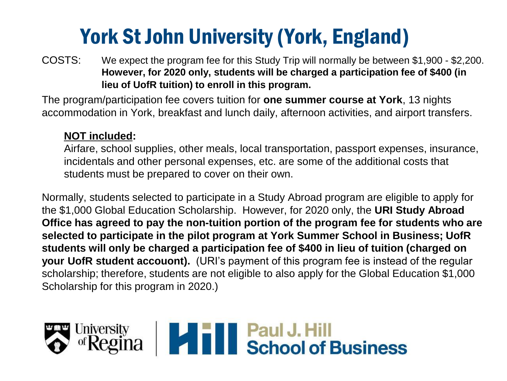COSTS: We expect the program fee for this Study Trip will normally be between \$1,900 - \$2,200. **However, for 2020 only, students will be charged a participation fee of \$400 (in lieu of UofR tuition) to enroll in this program.** 

The program/participation fee covers tuition for **one summer course at York**, 13 nights accommodation in York, breakfast and lunch daily, afternoon activities, and airport transfers.

#### **NOT included:**

Airfare, school supplies, other meals, local transportation, passport expenses, insurance, incidentals and other personal expenses, etc. are some of the additional costs that students must be prepared to cover on their own.

Normally, students selected to participate in a Study Abroad program are eligible to apply for the \$1,000 Global Education Scholarship. However, for 2020 only, the **URI Study Abroad Office has agreed to pay the non-tuition portion of the program fee for students who are selected to participate in the pilot program at York Summer School in Business; UofR students will only be charged a participation fee of \$400 in lieu of tuition (charged on your UofR student accouont).** (URI's payment of this program fee is instead of the regular scholarship; therefore, students are not eligible to also apply for the Global Education \$1,000 Scholarship for this program in 2020.)

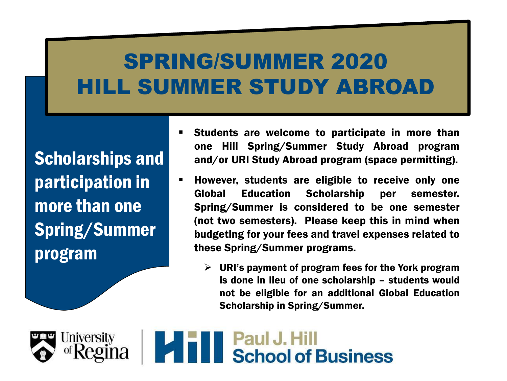Scholarships and participation in more than one Spring/Summer program

- Students are welcome to participate in more than one Hill Spring/Summer Study Abroad program and/or URI Study Abroad program (space permitting).
- **EXTE:** However, students are eligible to receive only one Global Education Scholarship per semester. Spring/Summer is considered to be one semester (not two semesters). Please keep this in mind when budgeting for your fees and travel expenses related to these Spring/Summer programs.
	- $\triangleright$  URI's payment of program fees for the York program is done in lieu of one scholarship – students would not be eligible for an additional Global Education Scholarship in Spring/Summer.